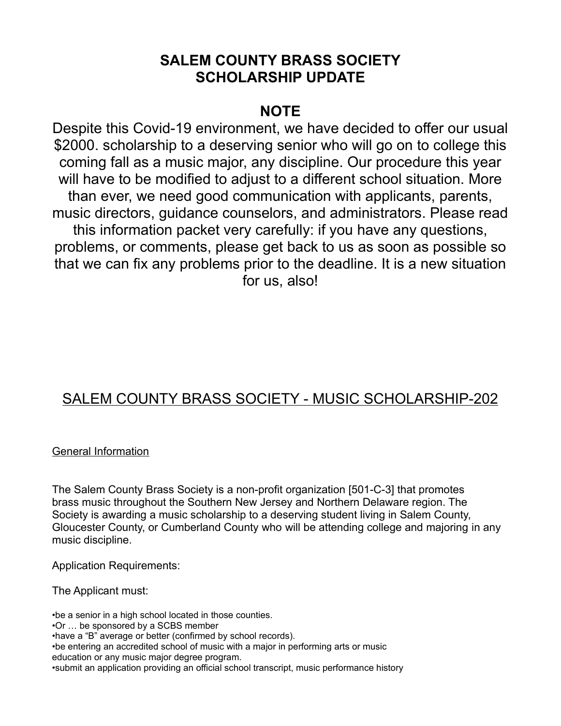## **SALEM COUNTY BRASS SOCIETY SCHOLARSHIP UPDATE**

## **NOTE**

Despite this Covid-19 environment, we have decided to offer our usual \$2000. scholarship to a deserving senior who will go on to college this coming fall as a music major, any discipline. Our procedure this year will have to be modified to adjust to a different school situation. More than ever, we need good communication with applicants, parents, music directors, guidance counselors, and administrators. Please read this information packet very carefully: if you have any questions, problems, or comments, please get back to us as soon as possible so that we can fix any problems prior to the deadline. It is a new situation for us, also!

# SALEM COUNTY BRASS SOCIETY - MUSIC SCHOLARSHIP-202

### General Information

The Salem County Brass Society is a non-profit organization [501-C-3] that promotes brass music throughout the Southern New Jersey and Northern Delaware region. The Society is awarding a music scholarship to a deserving student living in Salem County, Gloucester County, or Cumberland County who will be attending college and majoring in any music discipline.

Application Requirements:

The Applicant must:

•be a senior in a high school located in those counties. •Or … be sponsored by a SCBS member •have a "B" average or better (confirmed by school records). •be entering an accredited school of music with a major in performing arts or music education or any music major degree program. •submit an application providing an official school transcript, music performance history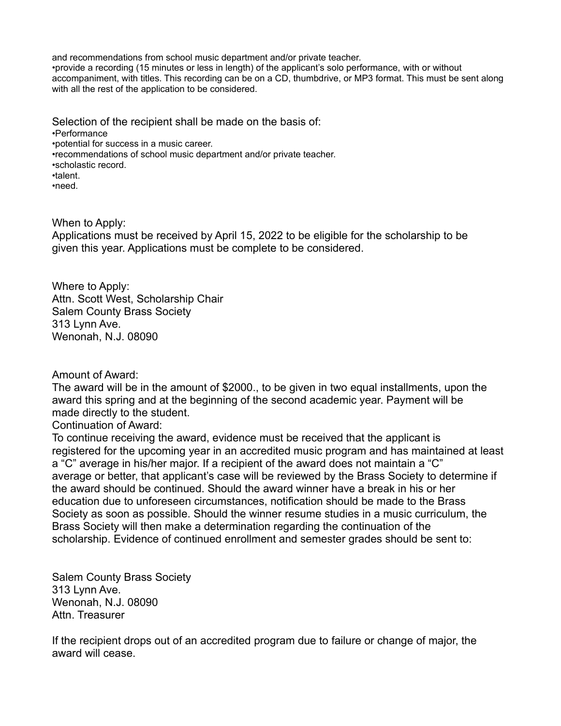and recommendations from school music department and/or private teacher. •provide a recording (15 minutes or less in length) of the applicant's solo performance, with or without accompaniment, with titles. This recording can be on a CD, thumbdrive, or MP3 format. This must be sent along with all the rest of the application to be considered.

Selection of the recipient shall be made on the basis of: •Performance •potential for success in a music career. •recommendations of school music department and/or private teacher. •scholastic record. •talent. •need.

When to Apply:

Applications must be received by April 15, 2022 to be eligible for the scholarship to be given this year. Applications must be complete to be considered.

Where to Apply: Attn. Scott West, Scholarship Chair Salem County Brass Society 313 Lynn Ave. Wenonah, N.J. 08090

Amount of Award:

The award will be in the amount of \$2000., to be given in two equal installments, upon the award this spring and at the beginning of the second academic year. Payment will be made directly to the student.

Continuation of Award:

To continue receiving the award, evidence must be received that the applicant is registered for the upcoming year in an accredited music program and has maintained at least a "C" average in his/her major. If a recipient of the award does not maintain a "C" average or better, that applicant's case will be reviewed by the Brass Society to determine if the award should be continued. Should the award winner have a break in his or her education due to unforeseen circumstances, notification should be made to the Brass Society as soon as possible. Should the winner resume studies in a music curriculum, the Brass Society will then make a determination regarding the continuation of the scholarship. Evidence of continued enrollment and semester grades should be sent to:

Salem County Brass Society 313 Lynn Ave. Wenonah, N.J. 08090 Attn. Treasurer

If the recipient drops out of an accredited program due to failure or change of major, the award will cease.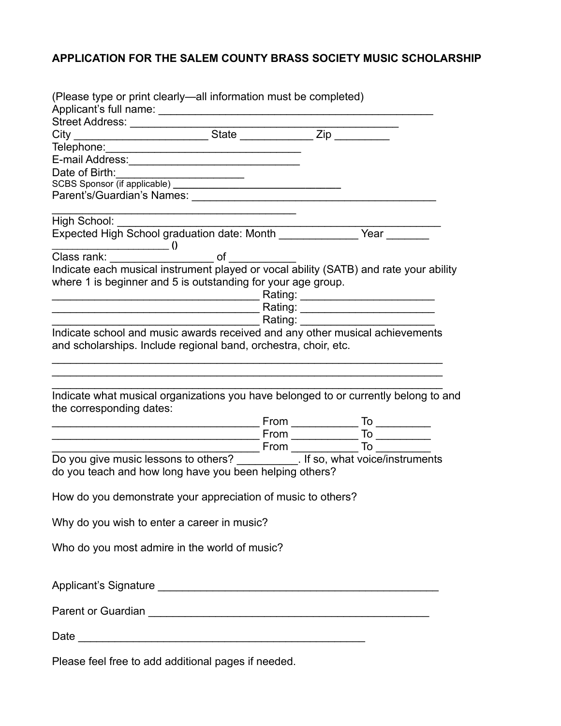## **APPLICATION FOR THE SALEM COUNTY BRASS SOCIETY MUSIC SCHOLARSHIP**

| (Please type or print clearly—all information must be completed)                                                                                       |  |  |
|--------------------------------------------------------------------------------------------------------------------------------------------------------|--|--|
|                                                                                                                                                        |  |  |
| Street Address: ________________                                                                                                                       |  |  |
|                                                                                                                                                        |  |  |
|                                                                                                                                                        |  |  |
|                                                                                                                                                        |  |  |
| Date of Birth:                                                                                                                                         |  |  |
|                                                                                                                                                        |  |  |
|                                                                                                                                                        |  |  |
| High School:                                                                                                                                           |  |  |
|                                                                                                                                                        |  |  |
| Class rank: ___________ 0<br>Class rank: _____________ of __ <sub>__</sub> _                                                                           |  |  |
| Indicate each musical instrument played or vocal ability (SATB) and rate your ability<br>where 1 is beginner and 5 is outstanding for your age group.  |  |  |
| ________________________________Rating: __________________________________                                                                             |  |  |
| and scholarships. Include regional band, orchestra, choir, etc.<br>Indicate what musical organizations you have belonged to or currently belong to and |  |  |
| the corresponding dates:                                                                                                                               |  |  |
|                                                                                                                                                        |  |  |
|                                                                                                                                                        |  |  |
|                                                                                                                                                        |  |  |
| Do you give music lessons to others? ___________. If so, what voice/instruments<br>do you teach and how long have you been helping others?             |  |  |
| How do you demonstrate your appreciation of music to others?                                                                                           |  |  |
| Why do you wish to enter a career in music?                                                                                                            |  |  |
| Who do you most admire in the world of music?                                                                                                          |  |  |
|                                                                                                                                                        |  |  |
|                                                                                                                                                        |  |  |
|                                                                                                                                                        |  |  |
| Dlogge feel frog to add additional negae if needed                                                                                                     |  |  |

Please feel free to add additional pages if needed.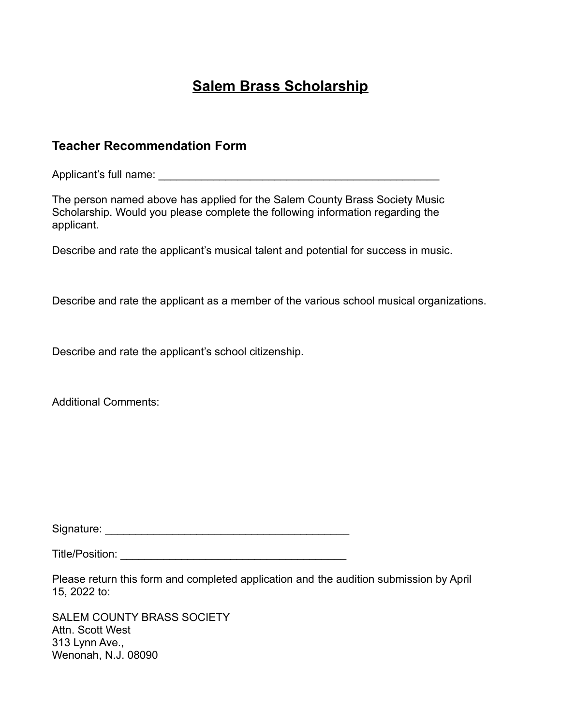# **Salem Brass Scholarship**

### **Teacher Recommendation Form**

Applicant's full name:  $\blacksquare$ 

The person named above has applied for the Salem County Brass Society Music Scholarship. Would you please complete the following information regarding the applicant.

Describe and rate the applicant's musical talent and potential for success in music.

Describe and rate the applicant as a member of the various school musical organizations.

Describe and rate the applicant's school citizenship.

Additional Comments:

Signature: \_\_\_\_\_\_\_\_\_\_\_\_\_\_\_\_\_\_\_\_\_\_\_\_\_\_\_\_\_\_\_\_\_\_\_\_\_\_\_\_

Title/Position: \_\_\_\_\_\_\_\_\_\_\_\_\_\_\_\_\_\_\_\_\_\_\_\_\_\_\_\_\_\_\_\_\_\_\_\_\_

Please return this form and completed application and the audition submission by April 15, 2022 to:

SALEM COUNTY BRASS SOCIETY Attn. Scott West 313 Lynn Ave., Wenonah, N.J. 08090